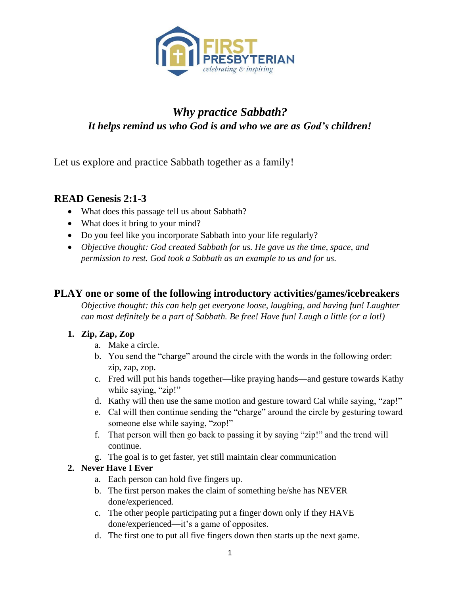

# *Why practice Sabbath? It helps remind us who God is and who we are as God's children!*

Let us explore and practice Sabbath together as a family!

#### **READ Genesis 2:1-3**

- What does this passage tell us about Sabbath?
- What does it bring to your mind?
- Do you feel like you incorporate Sabbath into your life regularly?
- *Objective thought: God created Sabbath for us. He gave us the time, space, and permission to rest. God took a Sabbath as an example to us and for us.*

### **PLAY one or some of the following introductory activities/games/icebreakers**

*Objective thought: this can help get everyone loose, laughing, and having fun! Laughter can most definitely be a part of Sabbath. Be free! Have fun! Laugh a little (or a lot!)*

#### **1. Zip, Zap, Zop**

- a. Make a circle.
- b. You send the "charge" around the circle with the words in the following order: zip, zap, zop.
- c. Fred will put his hands together—like praying hands—and gesture towards Kathy while saying, "zip!"
- d. Kathy will then use the same motion and gesture toward Cal while saying, "zap!"
- e. Cal will then continue sending the "charge" around the circle by gesturing toward someone else while saying, "zop!"
- f. That person will then go back to passing it by saying "zip!" and the trend will continue.
- g. The goal is to get faster, yet still maintain clear communication

#### **2. Never Have I Ever**

- a. Each person can hold five fingers up.
- b. The first person makes the claim of something he/she has NEVER done/experienced.
- c. The other people participating put a finger down only if they HAVE done/experienced—it's a game of opposites.
- d. The first one to put all five fingers down then starts up the next game.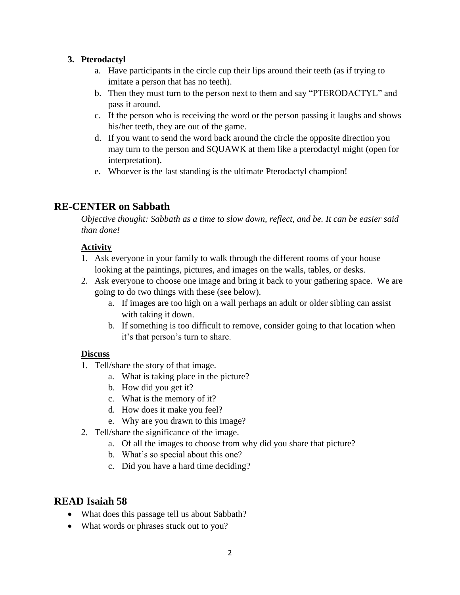#### **3. Pterodactyl**

- a. Have participants in the circle cup their lips around their teeth (as if trying to imitate a person that has no teeth).
- b. Then they must turn to the person next to them and say "PTERODACTYL" and pass it around.
- c. If the person who is receiving the word or the person passing it laughs and shows his/her teeth, they are out of the game.
- d. If you want to send the word back around the circle the opposite direction you may turn to the person and SQUAWK at them like a pterodactyl might (open for interpretation).
- e. Whoever is the last standing is the ultimate Pterodactyl champion!

### **RE-CENTER on Sabbath**

*Objective thought: Sabbath as a time to slow down, reflect, and be. It can be easier said than done!*

#### **Activity**

- 1. Ask everyone in your family to walk through the different rooms of your house looking at the paintings, pictures, and images on the walls, tables, or desks.
- 2. Ask everyone to choose one image and bring it back to your gathering space. We are going to do two things with these (see below).
	- a. If images are too high on a wall perhaps an adult or older sibling can assist with taking it down.
	- b. If something is too difficult to remove, consider going to that location when it's that person's turn to share.

#### **Discuss**

- 1. Tell/share the story of that image.
	- a. What is taking place in the picture?
	- b. How did you get it?
	- c. What is the memory of it?
	- d. How does it make you feel?
	- e. Why are you drawn to this image?
- 2. Tell/share the significance of the image.
	- a. Of all the images to choose from why did you share that picture?
	- b. What's so special about this one?
	- c. Did you have a hard time deciding?

## **READ Isaiah 58**

- What does this passage tell us about Sabbath?
- What words or phrases stuck out to you?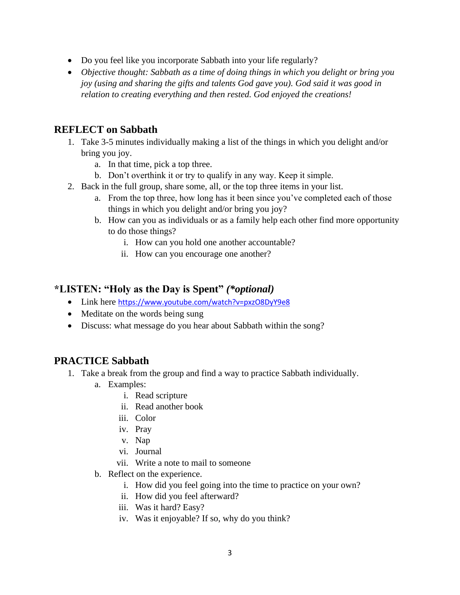- Do you feel like you incorporate Sabbath into your life regularly?
- *Objective thought: Sabbath as a time of doing things in which you delight or bring you joy (using and sharing the gifts and talents God gave you). God said it was good in relation to creating everything and then rested. God enjoyed the creations!*

### **REFLECT on Sabbath**

- 1. Take 3-5 minutes individually making a list of the things in which you delight and/or bring you joy.
	- a. In that time, pick a top three.
	- b. Don't overthink it or try to qualify in any way. Keep it simple.
- 2. Back in the full group, share some, all, or the top three items in your list.
	- a. From the top three, how long has it been since you've completed each of those things in which you delight and/or bring you joy?
	- b. How can you as individuals or as a family help each other find more opportunity to do those things?
		- i. How can you hold one another accountable?
		- ii. How can you encourage one another?

### **\*LISTEN: "Holy as the Day is Spent"** *(\*optional)*

- Link here <https://www.youtube.com/watch?v=pxzO8DyY9e8>
- Meditate on the words being sung
- Discuss: what message do you hear about Sabbath within the song?

### **PRACTICE Sabbath**

- 1. Take a break from the group and find a way to practice Sabbath individually.
	- a. Examples:
		- i. Read scripture
		- ii. Read another book
		- iii. Color
		- iv. Pray
		- v. Nap
		- vi. Journal
		- vii. Write a note to mail to someone
	- b. Reflect on the experience.
		- i. How did you feel going into the time to practice on your own?
		- ii. How did you feel afterward?
		- iii. Was it hard? Easy?
		- iv. Was it enjoyable? If so, why do you think?